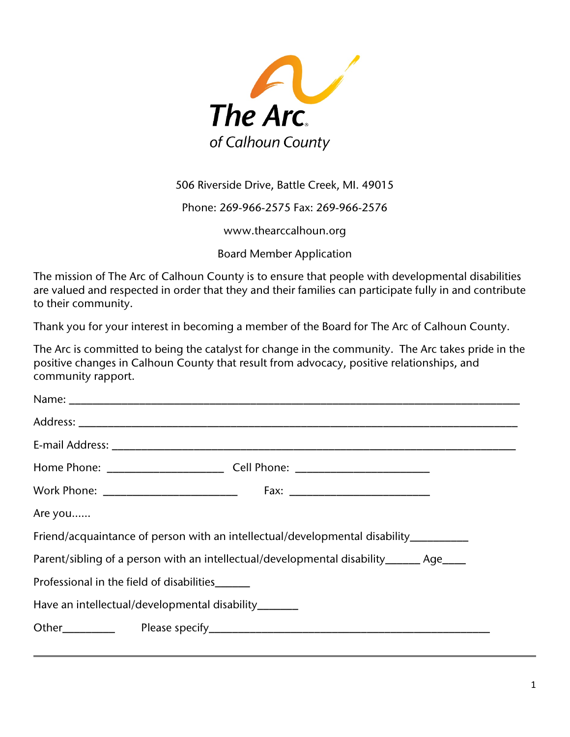

506 Riverside Drive, Battle Creek, MI. 49015

Phone: 269-966-2575 Fax: 269-966-2576

[www.thearccalhoun.org](http://www.thearccalhoun.org/)

Board Member Application

The mission of The Arc of Calhoun County is to ensure that people with developmental disabilities are valued and respected in order that they and their families can participate fully in and contribute to their community.

Thank you for your interest in becoming a member of the Board for The Arc of Calhoun County.

The Arc is committed to being the catalyst for change in the community. The Arc takes pride in the positive changes in Calhoun County that result from advocacy, positive relationships, and community rapport.

| Are you |                                                                                         |
|---------|-----------------------------------------------------------------------------------------|
|         | Friend/acquaintance of person with an intellectual/developmental disability__________   |
|         | Parent/sibling of a person with an intellectual/developmental disability_______ Age____ |
|         | Professional in the field of disabilities______                                         |
|         | Have an intellectual/developmental disability_______                                    |
|         |                                                                                         |
|         |                                                                                         |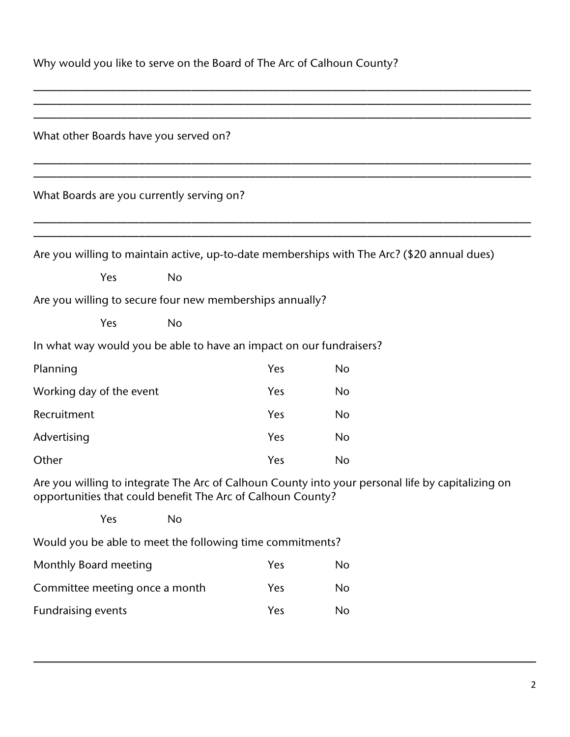| Why would you like to serve on the Board of The Arc of Calhoun County? |  |  |  |  |
|------------------------------------------------------------------------|--|--|--|--|
|------------------------------------------------------------------------|--|--|--|--|

| What other Boards have you served on?                                                                                                                            |           |            |           |  |  |  |  |  |
|------------------------------------------------------------------------------------------------------------------------------------------------------------------|-----------|------------|-----------|--|--|--|--|--|
| What Boards are you currently serving on?                                                                                                                        |           |            |           |  |  |  |  |  |
| Are you willing to maintain active, up-to-date memberships with The Arc? (\$20 annual dues)                                                                      |           |            |           |  |  |  |  |  |
| Yes                                                                                                                                                              | <b>No</b> |            |           |  |  |  |  |  |
| Are you willing to secure four new memberships annually?                                                                                                         |           |            |           |  |  |  |  |  |
| Yes                                                                                                                                                              | <b>No</b> |            |           |  |  |  |  |  |
| In what way would you be able to have an impact on our fundraisers?                                                                                              |           |            |           |  |  |  |  |  |
| Planning                                                                                                                                                         |           | Yes        | <b>No</b> |  |  |  |  |  |
| Working day of the event                                                                                                                                         |           | <b>Yes</b> | No        |  |  |  |  |  |
| Recruitment                                                                                                                                                      |           | <b>Yes</b> | <b>No</b> |  |  |  |  |  |
| Advertising                                                                                                                                                      |           | Yes        | <b>No</b> |  |  |  |  |  |
| Other                                                                                                                                                            |           | Yes        | <b>No</b> |  |  |  |  |  |
| Are you willing to integrate The Arc of Calhoun County into your personal life by capitalizing on<br>opportunities that could benefit The Arc of Calhoun County? |           |            |           |  |  |  |  |  |
| Yes                                                                                                                                                              | No        |            |           |  |  |  |  |  |
| Would you be able to meet the following time commitments?                                                                                                        |           |            |           |  |  |  |  |  |
| Monthly Board meeting                                                                                                                                            |           | Yes        | No        |  |  |  |  |  |
| Committee meeting once a month                                                                                                                                   |           | Yes        | No        |  |  |  |  |  |
| <b>Fundraising events</b>                                                                                                                                        |           | Yes        | No        |  |  |  |  |  |

\_\_\_\_\_\_\_\_\_\_\_\_\_\_\_\_\_\_\_\_\_\_\_\_\_\_\_\_\_\_\_\_\_\_\_\_\_\_\_\_\_\_\_\_\_\_\_\_\_\_\_\_\_\_\_\_\_\_\_\_\_\_\_\_\_\_\_\_\_\_\_\_\_\_\_\_\_\_\_\_\_\_\_\_\_